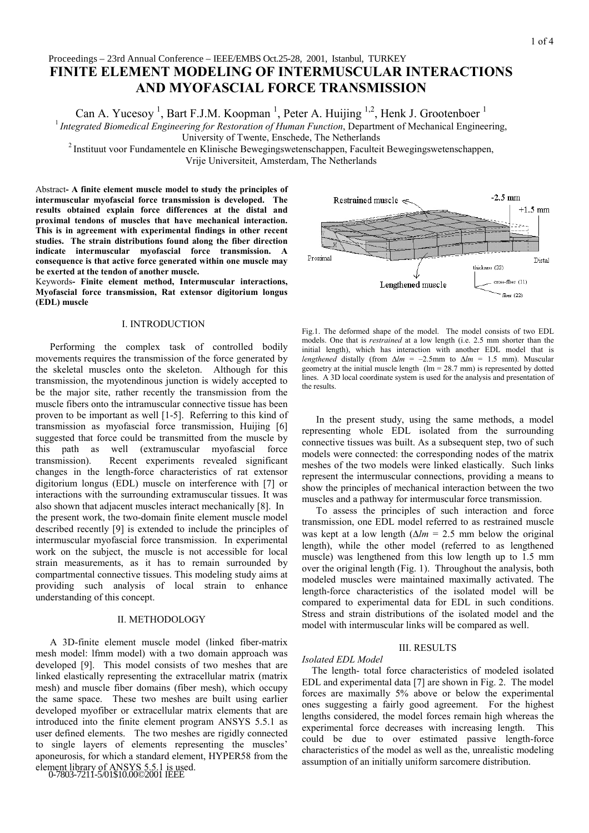# **FINITE ELEMENT MODELING OF INTERMUSCULAR INTERACTIONS AND MYOFASCIAL FORCE TRANSMISSION** Proceedings – 23rd Annual Conference – IEEE/EMBS Oct.25-28, 2001, Istanbul, TURKEY

Can A. Yucesoy<sup>1</sup>, Bart F.J.M. Koopman<sup>1</sup>, Peter A. Huijing <sup>1,2</sup>, Henk J. Grootenboer<sup>1</sup>

<sup>1</sup> Integrated Biomedical Engineering for Restoration of Human Function, Department of Mechanical Engineering,<br>University of Twente, Enschede, The Netherlands

<sup>2</sup> Instituut voor Fundamentele en Klinische Bewegingswetenschappen, Faculteit Bewegingswetenschappen,

Vrije Universiteit, Amsterdam, The Netherlands

Abstract**- A finite element muscle model to study the principles of intermuscular myofascial force transmission is developed. The results obtained explain force differences at the distal and proximal tendons of muscles that have mechanical interaction. This is in agreement with experimental findings in other recent studies. The strain distributions found along the fiber direction indicate intermuscular myofascial force transmission. A consequence is that active force generated within one muscle may be exerted at the tendon of another muscle.**

Keywords**- Finite element method, Intermuscular interactions, Myofascial force transmission, Rat extensor digitorium longus (EDL) muscle**

## I. INTRODUCTION

Performing the complex task of controlled bodily movements requires the transmission of the force generated by the skeletal muscles onto the skeleton. Although for this transmission, the myotendinous junction is widely accepted to be the major site, rather recently the transmission from the muscle fibers onto the intramuscular connective tissue has been proven to be important as well [1-5]. Referring to this kind of transmission as myofascial force transmission, Huijing [6] suggested that force could be transmitted from the muscle by this path as well (extramuscular myofascial force transmission). Recent experiments revealed significant changes in the length-force characteristics of rat extensor digitorium longus (EDL) muscle on interference with [7] or interactions with the surrounding extramuscular tissues. It was also shown that adjacent muscles interact mechanically [8]. In the present work, the two-domain finite element muscle model described recently [9] is extended to include the principles of intermuscular myofascial force transmission. In experimental work on the subject, the muscle is not accessible for local strain measurements, as it has to remain surrounded by compartmental connective tissues. This modeling study aims at providing such analysis of local strain to enhance understanding of this concept.

### II. METHODOLOGY

A 3D-finite element muscle model (linked fiber-matrix mesh model: lfmm model) with a two domain approach was developed [9]. This model consists of two meshes that are linked elastically representing the extracellular matrix (matrix mesh) and muscle fiber domains (fiber mesh), which occupy the same space. These two meshes are built using earlier developed myofiber or extracellular matrix elements that are introduced into the finite element program ANSYS 5.5.1 as user defined elements. The two meshes are rigidly connected to single layers of elements representing the muscles' aponeurosis, for which a standard element, HYPER58 from the element library of ANSYS 5.5.1 is used. 0-7803-7211-5/01\$10.00©2001 IEEE



Fig.1. The deformed shape of the model. The model consists of two EDL models. One that is *restrained* at a low length (i.e. 2.5 mm shorter than the initial length), which has interaction with another EDL model that is *lengthened* distally (from  $\Delta l$ *m* = –2.5mm to  $\Delta l$ *m* = 1.5 mm). Muscular geometry at the initial muscle length  $(Im = 28.7 \text{ mm})$  is represented by dotted lines. A 3D local coordinate system is used for the analysis and presentation of the results.

In the present study, using the same methods, a model representing whole EDL isolated from the surrounding connective tissues was built. As a subsequent step, two of such models were connected: the corresponding nodes of the matrix meshes of the two models were linked elastically. Such links represent the intermuscular connections, providing a means to show the principles of mechanical interaction between the two muscles and a pathway for intermuscular force transmission.

To assess the principles of such interaction and force transmission, one EDL model referred to as restrained muscle was kept at a low length (∆*lm* = 2.5 mm below the original length), while the other model (referred to as lengthened muscle) was lengthened from this low length up to 1.5 mm over the original length (Fig. 1). Throughout the analysis, both modeled muscles were maintained maximally activated. The length-force characteristics of the isolated model will be compared to experimental data for EDL in such conditions. Stress and strain distributions of the isolated model and the model with intermuscular links will be compared as well.

# III. RESULTS

#### *Isolated EDL Model*

The length- total force characteristics of modeled isolated EDL and experimental data [7] are shown in Fig. 2. The model forces are maximally 5% above or below the experimental ones suggesting a fairly good agreement. For the highest lengths considered, the model forces remain high whereas the experimental force decreases with increasing length. This could be due to over estimated passive length-force characteristics of the model as well as the, unrealistic modeling assumption of an initially uniform sarcomere distribution.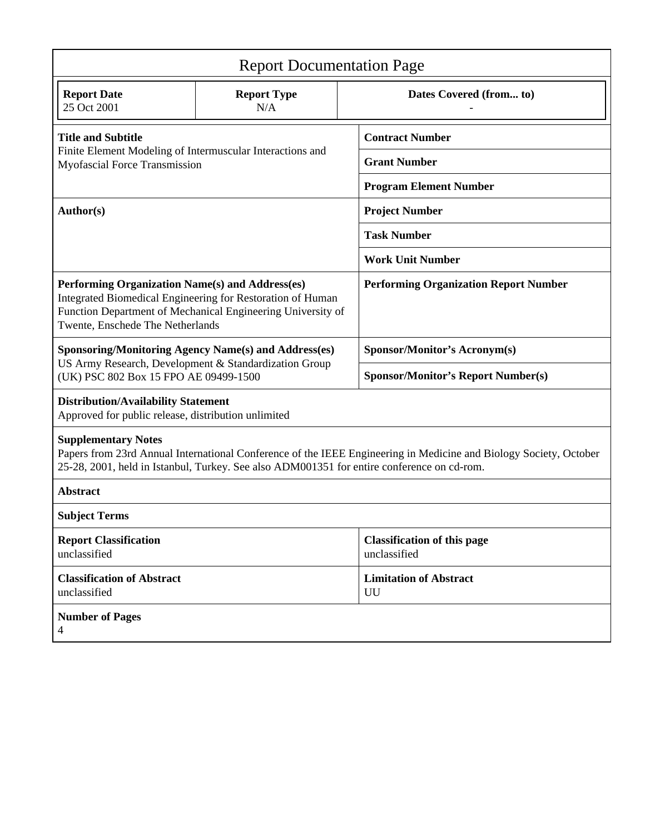| <b>Report Documentation Page</b>                                                                                                                                                                                                              |                           |                                                    |
|-----------------------------------------------------------------------------------------------------------------------------------------------------------------------------------------------------------------------------------------------|---------------------------|----------------------------------------------------|
| <b>Report Date</b><br>25 Oct 2001                                                                                                                                                                                                             | <b>Report Type</b><br>N/A | Dates Covered (from to)                            |
| <b>Title and Subtitle</b><br>Finite Element Modeling of Intermuscular Interactions and<br>Myofascial Force Transmission                                                                                                                       |                           | <b>Contract Number</b>                             |
|                                                                                                                                                                                                                                               |                           | <b>Grant Number</b>                                |
|                                                                                                                                                                                                                                               |                           | <b>Program Element Number</b>                      |
| Author(s)                                                                                                                                                                                                                                     |                           | <b>Project Number</b>                              |
|                                                                                                                                                                                                                                               |                           | <b>Task Number</b>                                 |
|                                                                                                                                                                                                                                               |                           | <b>Work Unit Number</b>                            |
| Performing Organization Name(s) and Address(es)<br>Integrated Biomedical Engineering for Restoration of Human<br>Function Department of Mechanical Engineering University of<br>Twente, Enschede The Netherlands                              |                           | <b>Performing Organization Report Number</b>       |
| <b>Sponsoring/Monitoring Agency Name(s) and Address(es)</b><br>US Army Research, Development & Standardization Group<br>(UK) PSC 802 Box 15 FPO AE 09499-1500                                                                                 |                           | Sponsor/Monitor's Acronym(s)                       |
|                                                                                                                                                                                                                                               |                           | <b>Sponsor/Monitor's Report Number(s)</b>          |
| <b>Distribution/Availability Statement</b><br>Approved for public release, distribution unlimited                                                                                                                                             |                           |                                                    |
| <b>Supplementary Notes</b><br>Papers from 23rd Annual International Conference of the IEEE Engineering in Medicine and Biology Society, October<br>25-28, 2001, held in Istanbul, Turkey. See also ADM001351 for entire conference on cd-rom. |                           |                                                    |
| <b>Abstract</b>                                                                                                                                                                                                                               |                           |                                                    |
| <b>Subject Terms</b>                                                                                                                                                                                                                          |                           |                                                    |
| <b>Report Classification</b><br>unclassified                                                                                                                                                                                                  |                           | <b>Classification of this page</b><br>unclassified |
| <b>Classification of Abstract</b><br>unclassified                                                                                                                                                                                             |                           | <b>Limitation of Abstract</b><br>UU                |
| <b>Number of Pages</b><br>4                                                                                                                                                                                                                   |                           |                                                    |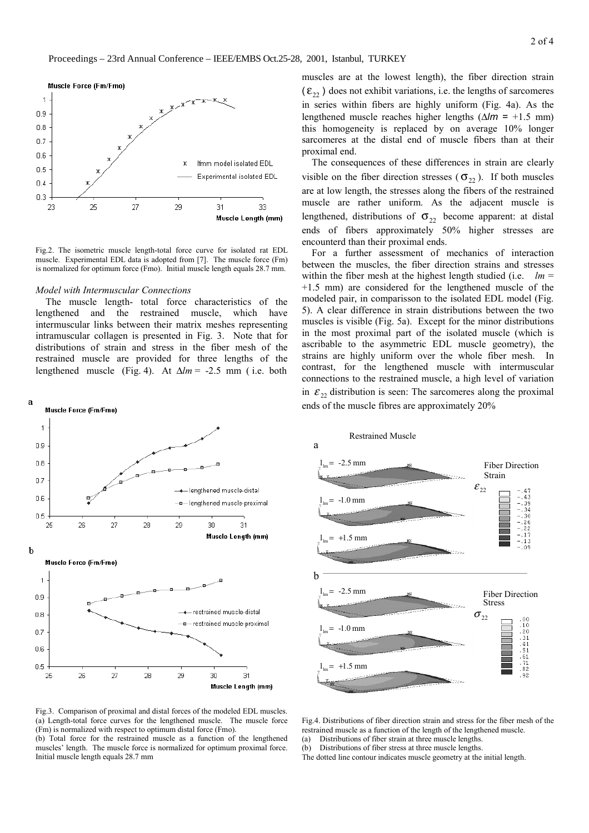

Fig.2. The isometric muscle length-total force curve for isolated rat EDL muscle. Experimental EDL data is adopted from [7]. The muscle force (Fm) is normalized for optimum force (Fmo). Initial muscle length equals 28.7 mm.

#### *Model with Intermuscular Connections*

The muscle length- total force characteristics of the lengthened and the restrained muscle, which have intermuscular links between their matrix meshes representing intramuscular collagen is presented in Fig. 3. Note that for distributions of strain and stress in the fiber mesh of the restrained muscle are provided for three lengths of the lengthened muscle (Fig. 4). At ∆*lm* = -2.5 mm ( i.e. both



muscles are at the lowest length), the fiber direction strain  $(\mathcal{E}_{22})$  does not exhibit variations, i.e. the lengths of sarcomeres in series within fibers are highly uniform (Fig. 4a). As the lengthened muscle reaches higher lengths (∆*lm* = +1.5 mm) this homogeneity is replaced by on average 10% longer sarcomeres at the distal end of muscle fibers than at their proximal end.

The consequences of these differences in strain are clearly visible on the fiber direction stresses ( $\sigma_{22}$ ). If both muscles are at low length, the stresses along the fibers of the restrained muscle are rather uniform. As the adjacent muscle is lengthened, distributions of  $\sigma_{22}$  become apparent: at distal ends of fibers approximately 50% higher stresses are encounterd than their proximal ends.

For a further assessment of mechanics of interaction between the muscles, the fiber direction strains and stresses within the fiber mesh at the highest length studied (i.e.  $lm =$ +1.5 mm) are considered for the lengthened muscle of the modeled pair, in comparisson to the isolated EDL model (Fig. 5). A clear difference in strain distributions between the two muscles is visible (Fig. 5a). Except for the minor distributions in the most proximal part of the isolated muscle (which is ascribable to the asymmetric EDL muscle geometry), the strains are highly uniform over the whole fiber mesh. In contrast, for the lengthened muscle with intermuscular connections to the restrained muscle, a high level of variation in  $\mathcal{E}_{22}$  distribution is seen: The sarcomeres along the proximal ends of the muscle fibres are approximately 20%





(b) Total force for the restrained muscle as a function of the lengthened muscles' length. The muscle force is normalized for optimum proximal force. Initial muscle length equals 28.7 mm

Fig.4. Distributions of fiber direction strain and stress for the fiber mesh of the restrained muscle as a function of the length of the lengthened muscle. (a) Distributions of fiber strain at three muscle lengths.

(b) Distributions of fiber stress at three muscle lengths.

The dotted line contour indicates muscle geometry at the initial length.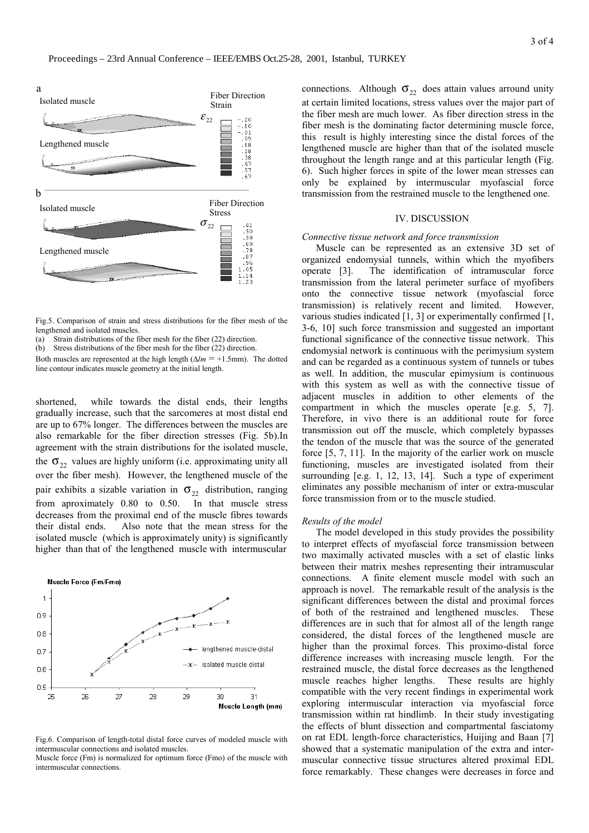

Fig.5. Comparison of strain and stress distributions for the fiber mesh of the lengthened and isolated muscles.

(a) Strain distributions of the fiber mesh for the fiber (22) direction.

(b) Stress distributions of the fiber mesh for the fiber (22) direction.

Both muscles are represented at the high length ( $\Delta l$ *m* = +1.5mm). The dotted line contour indicates muscle geometry at the initial length.

shortened, while towards the distal ends, their lengths gradually increase, such that the sarcomeres at most distal end are up to 67% longer. The differences between the muscles are also remarkable for the fiber direction stresses (Fig. 5b).In agreement with the strain distributions for the isolated muscle, the  $\sigma_{22}$  values are highly uniform (i.e. approximating unity all over the fiber mesh). However, the lengthened muscle of the pair exhibits a sizable variation in  $\sigma_{22}$  distribution, ranging from aproximately 0.80 to 0.50. In that muscle stress decreases from the proximal end of the muscle fibres towards their distal ends. Also note that the mean stress for the isolated muscle (which is approximately unity) is significantly higher than that of the lengthened muscle with intermuscular



Fig.6. Comparison of length-total distal force curves of modeled muscle with intermuscular connections and isolated muscles. Muscle force (Fm) is normalized for optimum force (Fmo) of the muscle with

intermuscular connections.

connections. Although  $\sigma_{22}$  does attain values arround unity at certain limited locations, stress values over the major part of the fiber mesh are much lower. As fiber direction stress in the fiber mesh is the dominating factor determining muscle force, this result is highly interesting since the distal forces of the lengthened muscle are higher than that of the isolated muscle throughout the length range and at this particular length (Fig. 6). Such higher forces in spite of the lower mean stresses can only be explained by intermuscular myofascial force transmission from the restrained muscle to the lengthened one.

## IV. DISCUSSION

#### *Connective tissue network and force transmission*

Muscle can be represented as an extensive 3D set of organized endomysial tunnels, within which the myofibers operate [3]. The identification of intramuscular force transmission from the lateral perimeter surface of myofibers onto the connective tissue network (myofascial force transmission) is relatively recent and limited. However, various studies indicated [1, 3] or experimentally confirmed [1, 3-6, 10] such force transmission and suggested an important functional significance of the connective tissue network. This endomysial network is continuous with the perimysium system and can be regarded as a continuous system of tunnels or tubes as well. In addition, the muscular epimysium is continuous with this system as well as with the connective tissue of adjacent muscles in addition to other elements of the compartment in which the muscles operate [e.g. 5, 7]. Therefore, in vivo there is an additional route for force transmission out off the muscle, which completely bypasses the tendon of the muscle that was the source of the generated force [5, 7, 11]. In the majority of the earlier work on muscle functioning, muscles are investigated isolated from their surrounding [e.g. 1, 12, 13, 14]. Such a type of experiment eliminates any possible mechanism of inter or extra-muscular force transmission from or to the muscle studied.

#### *Results of the model*

The model developed in this study provides the possibility to interpret effects of myofascial force transmission between two maximally activated muscles with a set of elastic links between their matrix meshes representing their intramuscular connections. A finite element muscle model with such an approach is novel. The remarkable result of the analysis is the significant differences between the distal and proximal forces of both of the restrained and lengthened muscles. These differences are in such that for almost all of the length range considered, the distal forces of the lengthened muscle are higher than the proximal forces. This proximo-distal force difference increases with increasing muscle length. For the restrained muscle, the distal force decreases as the lengthened muscle reaches higher lengths. These results are highly compatible with the very recent findings in experimental work exploring intermuscular interaction via myofascial force transmission within rat hindlimb. In their study investigating the effects of blunt dissection and compartmental fasciatomy on rat EDL length-force characteristics, Huijing and Baan [7] showed that a systematic manipulation of the extra and intermuscular connective tissue structures altered proximal EDL force remarkably. These changes were decreases in force and